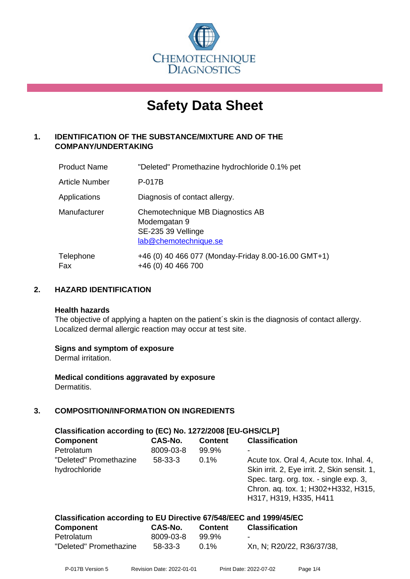

# **Safety Data Sheet**

# **1. IDENTIFICATION OF THE SUBSTANCE/MIXTURE AND OF THE COMPANY/UNDERTAKING**

| <b>Product Name</b>   | "Deleted" Promethazine hydrochloride 0.1% pet                                                   |
|-----------------------|-------------------------------------------------------------------------------------------------|
| <b>Article Number</b> | P-017B                                                                                          |
| Applications          | Diagnosis of contact allergy.                                                                   |
| Manufacturer          | Chemotechnique MB Diagnostics AB<br>Modemgatan 9<br>SE-235 39 Vellinge<br>lab@chemotechnique.se |
| Telephone<br>Fax      | +46 (0) 40 466 077 (Monday-Friday 8.00-16.00 GMT+1)<br>+46 (0) 40 466 700                       |

# **2. HAZARD IDENTIFICATION**

#### **Health hazards**

The objective of applying a hapten on the patient's skin is the diagnosis of contact allergy. Localized dermal allergic reaction may occur at test site.

# **Signs and symptom of exposure**

Dermal irritation.

**Medical conditions aggravated by exposure** Dermatitis.

# **3. COMPOSITION/INFORMATION ON INGREDIENTS**

| Classification according to (EC) No. 1272/2008 [EU-GHS/CLP] |               |                |                                                                                                                                                                                                    |  |  |
|-------------------------------------------------------------|---------------|----------------|----------------------------------------------------------------------------------------------------------------------------------------------------------------------------------------------------|--|--|
| <b>Component</b>                                            | CAS-No.       | <b>Content</b> | <b>Classification</b>                                                                                                                                                                              |  |  |
| Petrolatum                                                  | 8009-03-8     | 99.9%          |                                                                                                                                                                                                    |  |  |
| "Deleted" Promethazine<br>hydrochloride                     | $58 - 33 - 3$ | $0.1\%$        | Acute tox. Oral 4, Acute tox. Inhal. 4,<br>Skin irrit. 2, Eye irrit. 2, Skin sensit. 1,<br>Spec. targ. org. tox. - single exp. 3,<br>Chron. aq. tox. 1; H302+H332, H315,<br>H317, H319, H335, H411 |  |  |

| Classification according to EU Directive 67/548/EEC and 1999/45/EC |           |         |                           |  |  |
|--------------------------------------------------------------------|-----------|---------|---------------------------|--|--|
| Component                                                          | CAS-No.   | Content | <b>Classification</b>     |  |  |
| Petrolatum                                                         | 8009-03-8 | 99.9%   | $\blacksquare$            |  |  |
| "Deleted" Promethazine                                             | 58-33-3   | $0.1\%$ | Xn, N; R20/22, R36/37/38, |  |  |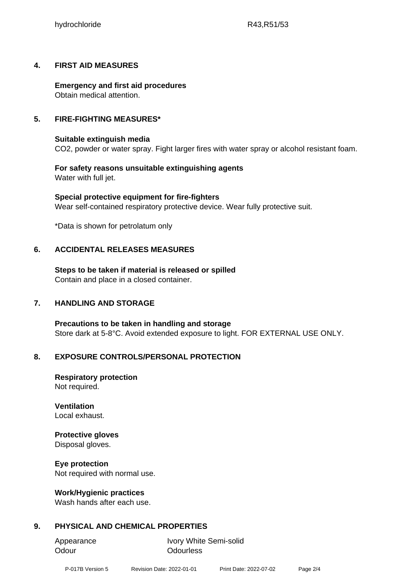# **4. FIRST AID MEASURES**

**Emergency and first aid procedures** Obtain medical attention.

# **5. FIRE-FIGHTING MEASURES\***

# **Suitable extinguish media**

CO2, powder or water spray. Fight larger fires with water spray or alcohol resistant foam.

# **For safety reasons unsuitable extinguishing agents** Water with full jet.

**Special protective equipment for fire-fighters** Wear self-contained respiratory protective device. Wear fully protective suit.

\*Data is shown for petrolatum only

# **6. ACCIDENTAL RELEASES MEASURES**

**Steps to be taken if material is released or spilled** Contain and place in a closed container.

# **7. HANDLING AND STORAGE**

**Precautions to be taken in handling and storage** Store dark at 5-8°C. Avoid extended exposure to light. FOR EXTERNAL USE ONLY.

# **8. EXPOSURE CONTROLS/PERSONAL PROTECTION**

**Respiratory protection** Not required.

**Ventilation** Local exhaust.

# **Protective gloves**

Disposal gloves.

# **Eye protection**

Not required with normal use.

# **Work/Hygienic practices**

Wash hands after each use.

# **9. PHYSICAL AND CHEMICAL PROPERTIES**

Odour **Odourless** 

Appearance Ivory White Semi-solid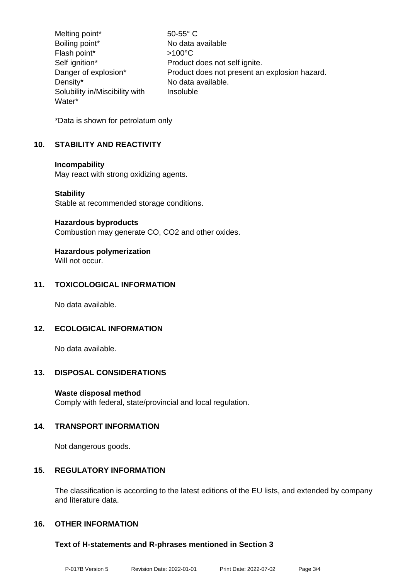Melting point\* 50-55° C Boiling point\* No data available Flash point\* >100°C Self ignition\* Product does not self ignite. Danger of explosion\* Product does not present an explosion hazard. Density\* No data available. Solubility in/Miscibility with Water\* Insoluble

\*Data is shown for petrolatum only

# **10. STABILITY AND REACTIVITY**

#### **Incompability**

May react with strong oxidizing agents.

#### **Stability**

Stable at recommended storage conditions.

#### **Hazardous byproducts**

Combustion may generate CO, CO2 and other oxides.

# **Hazardous polymerization**

Will not occur.

# **11. TOXICOLOGICAL INFORMATION**

No data available.

# **12. ECOLOGICAL INFORMATION**

No data available.

# **13. DISPOSAL CONSIDERATIONS**

# **Waste disposal method**

Comply with federal, state/provincial and local regulation.

# **14. TRANSPORT INFORMATION**

Not dangerous goods.

# **15. REGULATORY INFORMATION**

The classification is according to the latest editions of the EU lists, and extended by company and literature data.

# **16. OTHER INFORMATION**

# **Text of H-statements and R-phrases mentioned in Section 3**